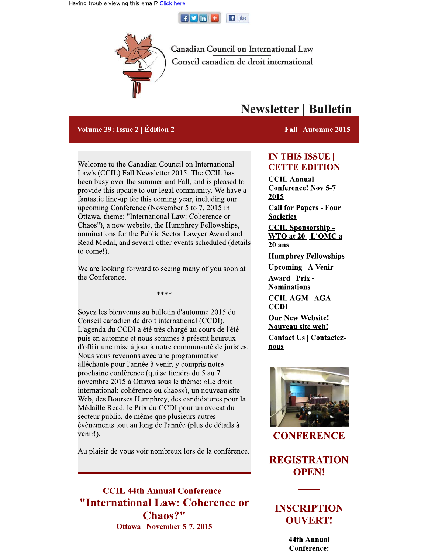



**Canadian Council on International Law** Conseil canadien de droit international

#### Volume 39: Issue 2 | Édition 2

# **Newsletter | Bulletin**

#### Fall | Automne 2015

Welcome to the Canadian Council on International Law's (CCIL) Fall Newsletter 2015. The CCIL has been busy over the summer and Fall, and is pleased to provide this update to our legal community. We have a fantastic line-up for this coming year, including our upcoming Conference (November 5 to 7, 2015 in Ottawa, theme: "International Law: Coherence or Chaos"), a new website, the Humphrey Fellowships, nominations for the Public Sector Lawyer Award and Read Medal, and several other events scheduled (details to come!).

We are looking forward to seeing many of you soon at the Conference.

 $****$ 

Soyez les bienvenus au bulletin d'automne 2015 du Conseil canadien de droit international (CCDI). L'agenda du CCDI a été très chargé au cours de l'été puis en automne et nous sommes à présent heureux d'offrir une mise à jour à notre communauté de juristes. Nous vous revenons avec une programmation alléchante pour l'année à venir, y compris notre prochaine conférence (qui se tiendra du 5 au 7 novembre 2015 à Ottawa sous le thème: «Le droit international: cohérence ou chaos»), un nouveau site Web, des Bourses Humphrey, des candidatures pour la Médaille Read, le Prix du CCDI pour un avocat du secteur public, de même que plusieurs autres évènements tout au long de l'année (plus de détails à venir!).

Au plaisir de vous voir nombreux lors de la conférence.

**CCIL 44th Annual Conference** "International Law: Coherence or Chaos?" Ottawa | November 5-7, 2015

## **IN THIS ISSUE | CETTE EDITION**

**CCIL Annual Conference! Nov 5-7** 2015 **Call for Papers - Four Societies CCIL Sponsorship-** $WTO$  at 20 |  $L'OMC$  a  $20$  ans **Humphrey Fellowships Upcoming | A Venir** Award | Prix -**Nominations CCIL AGM | AGA CCDI Our New Website!** Nouveau site web! **Contact Us | Contactez**nous



**CONFERENCE** 

**REGISTRATION OPEN!** 

## **INSCRIPTION OUVERT!**

44th Annual **Conference:**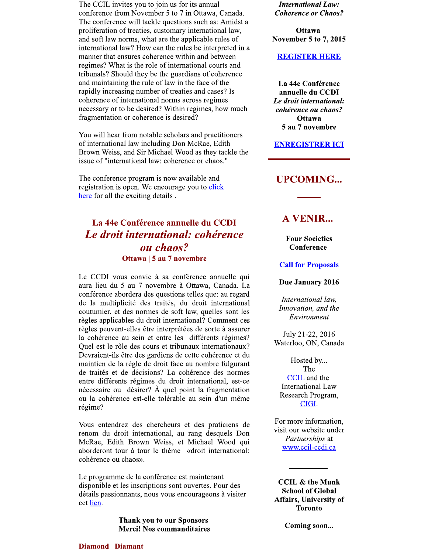The CCIL invites you to join us for its annual conference from November 5 to 7 in Ottawa, Canada. The conference will tackle questions such as: Amidst a proliferation of treaties, customary international law, and soft law norms, what are the applicable rules of international law? How can the rules be interpreted in a manner that ensures coherence within and between regimes? What is the role of international courts and tribunals? Should they be the guardians of coherence and maintaining the rule of law in the face of the rapidly increasing number of treaties and cases? Is coherence of international norms across regimes necessary or to be desired? Within regimes, how much fragmentation or coherence is desired?

You will hear from notable scholars and practitioners of international law including Don McRae, Edith Brown Weiss, and Sir Michael Wood as they tackle the issue of "international law: coherence or chaos."

The conference program is now available and registration is open. We encourage you to click here for all the exciting details.

## La 44e Conférence annuelle du CCDI Le droit international: cohérence ou chaos? Ottawa | 5 au 7 novembre

Le CCDI vous convie à sa conférence annuelle qui aura lieu du 5 au 7 novembre à Ottawa, Canada. La conférence abordera des questions telles que: au regard de la multiplicité des traités, du droit international coutumier, et des normes de soft law, quelles sont les règles applicables du droit international? Comment ces règles peuvent-elles être interprétées de sorte à assurer la cohérence au sein et entre les différents régimes? Quel est le rôle des cours et tribunaux internationaux? Devraient-ils être des gardiens de cette cohérence et du maintien de la règle de droit face au nombre fulgurant de traités et de décisions? La cohérence des normes entre différents régimes du droit international, est-ce nécessaire ou désirer? À quel point la fragmentation ou la cohérence est-elle tolérable au sein d'un même régime?

Vous entendrez des chercheurs et des praticiens de renom du droit international, au rang desquels Don McRae, Edith Brown Weiss, et Michael Wood qui aborderont tour à tour le thème «droit international: cohérence ou chaos».

Le programme de la conférence est maintenant disponible et les inscriptions sont ouvertes. Pour des détails passionnants, nous vous encourageons à visiter cet lien.

> **Thank you to our Sponsors Merci! Nos commanditaires**

**International Law: Coherence or Chaos?** 

**Ottawa November 5 to 7, 2015** 

#### **REGISTER HERE**

La 44e Conférence annuelle du CCDI Le droit international: cohérence ou chaos? **Ottawa** 5 au 7 novembre

**ENREGISTRER ICI** 

### **UPCOMING...**

## **A VENIR...**

**Four Societies** Conference

**Call for Proposals** 

Due January 2016

International law, Innovation, and the Environment

July 21-22, 2016 Waterloo, ON, Canada

Hosted by... The **CCIL** and the **International Law** Research Program, CIGI.

For more information, visit our website under Partnerships at www.ccil-ccdi.ca

**CCIL & the Munk School of Global Affairs, University of Toronto** 

Coming soon...

#### **Diamond | Diamant**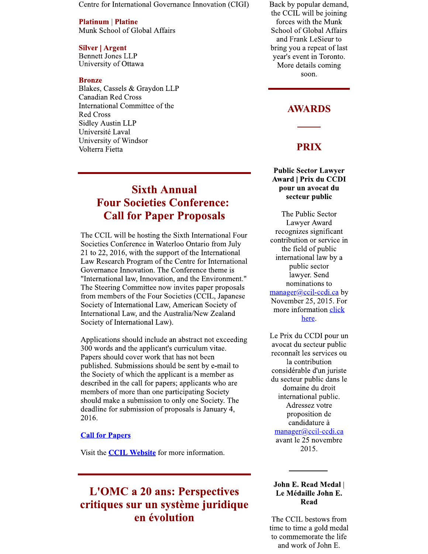Centre for International Governance Innovation (CIGI)

#### **Platinum | Platine**

Munk School of Global Affairs

#### **Silver | Argent**

**Bennett Jones LLP** University of Ottawa

#### **Bronze**

Blakes, Cassels & Graydon LLP **Canadian Red Cross** International Committee of the **Red Cross Sidley Austin LLP** Université Laval University of Windsor Volterra Fietta

# **Sixth Annual Four Societies Conference: Call for Paper Proposals**

The CCIL will be hosting the Sixth International Four Societies Conference in Waterloo Ontario from July 21 to 22, 2016, with the support of the International Law Research Program of the Centre for International Governance Innovation. The Conference theme is "International law, Innovation, and the Environment." The Steering Committee now invites paper proposals from members of the Four Societies (CCIL, Japanese Society of International Law, American Society of International Law, and the Australia/New Zealand Society of International Law).

Applications should include an abstract not exceeding 300 words and the applicant's curriculum vitae. Papers should cover work that has not been published. Submissions should be sent by e-mail to the Society of which the applicant is a member as described in the call for papers; applicants who are members of more than one participating Society should make a submission to only one Society. The deadline for submission of proposals is January 4, 2016.

#### **Call for Papers**

Visit the **CCIL Website** for more information.

# **L'OMC a 20 ans: Perspectives** critiques sur un système juridique en évolution

Back by popular demand, the CCIL will be joining forces with the Munk School of Global Affairs and Frank LeSieur to bring you a repeat of last year's event in Toronto. More details coming soon.

## **AWARDS**

## **PRIX**

#### **Public Sector Lawyer Award | Prix du CCDI** pour un avocat du secteur public

The Public Sector Lawyer Award recognizes significant contribution or service in the field of public international law by a public sector lawyer. Send nominations to manager@ccil-ccdi.ca by November 25, 2015. For more information click here.

Le Prix du CCDI pour un avocat du secteur public reconnaît les services ou la contribution considérable d'un juriste du secteur public dans le domaine du droit international public. Adressez votre proposition de candidature à  $m$ anager@ccil-ccdi.ca avant le 25 novembre 2015.

#### John E. Read Medal | Le Médaille John E. **Read**

The CCIL bestows from time to time a gold medal to commemorate the life and work of John E.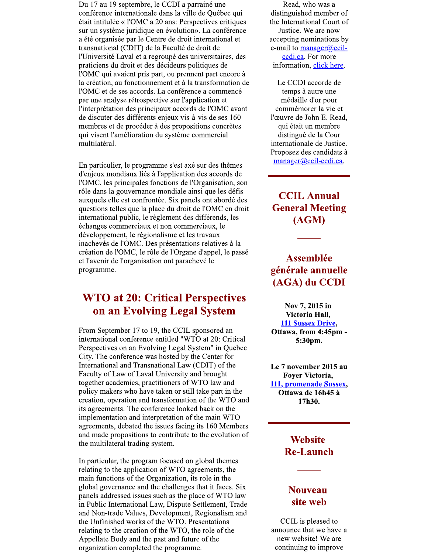Du 17 au 19 septembre, le CCDI a parrainé une conférence internationale dans la ville de Québec qui était intitulée « l'OMC a 20 ans: Perspectives critiques sur un système juridique en évolution». La conférence a été organisée par le Centre de droit international et transnational (CDIT) de la Faculté de droit de l'Université Laval et a regroupé des universitaires, des praticiens du droit et des décideurs politiques de l'OMC qui avaient pris part, ou prennent part encore à la création, au fonctionnement et à la transformation de l'OMC et de ses accords. La conférence a commencé par une analyse rétrospective sur l'application et l'interprétation des principaux accords de l'OMC avant de discuter des différents enjeux vis-à-vis de ses 160 membres et de procéder à des propositions concrètes qui visent l'amélioration du système commercial multilatéral.

En particulier, le programme s'est axé sur des thèmes d'enjeux mondiaux liés à l'application des accords de l'OMC, les principales fonctions de l'Organisation, son rôle dans la gouvernance mondiale ainsi que les défis auxquels elle est confrontée. Six panels ont abordé des questions telles que la place du droit de l'OMC en droit international public, le règlement des différends, les échanges commerciaux et non commerciaux, le développement, le régionalisme et les travaux inachevés de l'OMC. Des présentations relatives à la création de l'OMC, le rôle de l'Organe d'appel, le passé et l'avenir de l'organisation ont parachevé le programme.

# **WTO at 20: Critical Perspectives** on an Evolving Legal System

From September 17 to 19, the CCIL sponsored an international conference entitled "WTO at 20: Critical Perspectives on an Evolving Legal System" in Quebec City. The conference was hosted by the Center for International and Transnational Law (CDIT) of the Faculty of Law of Laval University and brought together academics, practitioners of WTO law and policy makers who have taken or still take part in the creation, operation and transformation of the WTO and its agreements. The conference looked back on the implementation and interpretation of the main WTO agreements, debated the issues facing its 160 Members and made propositions to contribute to the evolution of the multilateral trading system.

In particular, the program focused on global themes relating to the application of WTO agreements, the main functions of the Organization, its role in the global governance and the challenges that it faces. Six panels addressed issues such as the place of WTO law in Public International Law, Dispute Settlement, Trade and Non-trade Values, Development, Regionalism and the Unfinished works of the WTO. Presentations relating to the creation of the WTO, the role of the Appellate Body and the past and future of the organization completed the programme.

Read, who was a distinguished member of the International Court of Justice. We are now accepting nominations by e-mail to  $\frac{m \cdot \text{m}}{m \cdot \text{m}}$ ccdi.ca. For more information, click here.

Le CCDI accorde de temps à autre une médaille d'or pour commémorer la vie et l'œuvre de John E. Read, qui était un membre distingué de la Cour internationale de Justice. Proposez des candidats à manager@ccil-ccdi.ca.

**CCIL Annual General Meeting**  $(AGM)$ 

## **Assemblée** générale annuelle (AGA) du CCDI

Nov 7, 2015 in Victoria Hall, 111 Sussex Drive, Ottawa, from 4:45pm -5:30pm.

Le 7 november 2015 au **Fover Victoria,** 111, promenade Sussex, Ottawa de 16h45 à 17h30.

## **Website Re-Launch**

## **Nouveau** site web

CCIL is pleased to announce that we have a new website! We are continuing to improve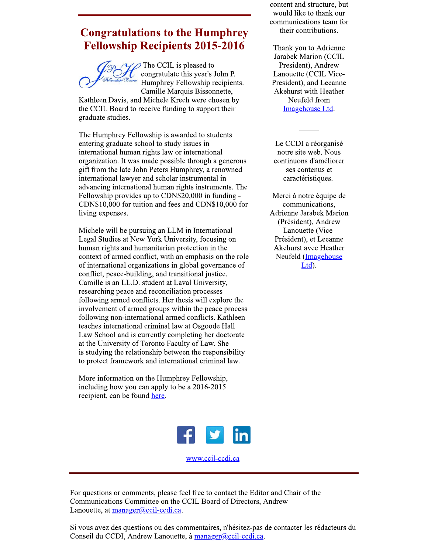# **Congratulations to the Humphrey Fellowship Recipients 2015-2016**

The CCIL is pleased to congratulate this year's John P. Humphrey Fellowship recipients. Camille Marquis Bissonnette,

Kathleen Davis, and Michele Krech were chosen by the CCIL Board to receive funding to support their graduate studies.

The Humphrey Fellowship is awarded to students entering graduate school to study issues in international human rights law or international organization. It was made possible through a generous gift from the late John Peters Humphrey, a renowned international lawyer and scholar instrumental in advancing international human rights instruments. The Fellowship provides up to CDN\$20,000 in funding -CDN\$10,000 for tuition and fees and CDN\$10,000 for living expenses.

Michele will be pursuing an LLM in International Legal Studies at New York University, focusing on human rights and humanitarian protection in the context of armed conflict, with an emphasis on the role of international organizations in global governance of conflict, peace-building, and transitional justice. Camille is an LL.D. student at Laval University, researching peace and reconciliation processes following armed conflicts. Her thesis will explore the involvement of armed groups within the peace process following non-international armed conflicts. Kathleen teaches international criminal law at Osgoode Hall Law School and is currently completing her doctorate at the University of Toronto Faculty of Law. She is studying the relationship between the responsibility to protect framework and international criminal law.

More information on the Humphrey Fellowship, including how you can apply to be a 2016-2015 recipient, can be found here.



www.ccil-ccdi.ca

For questions or comments, please feel free to contact the Editor and Chair of the Communications Committee on the CCIL Board of Directors, Andrew Lanouette, at manager@ccil-ccdi.ca.

Si vous avez des questions ou des commentaires, n'hésitez-pas de contacter les rédacteurs du Conseil du CCDI, Andrew Lanouette, à manager@ccil-ccdi.ca.

content and structure, but would like to thank our communications team for their contributions.

Thank you to Adrienne Jarabek Marion (CCIL President), Andrew Lanouette (CCIL Vice-President), and Leeanne Akehurst with Heather Neufeld from Imagehouse Ltd.

Le CCDI a réorganisé notre site web. Nous continuons d'améliorer ses contenus et caractéristiques.

Merci à notre équipe de communications, **Adrienne Jarabek Marion** (Président), Andrew Lanouette (Vice-Président), et Leeanne Akehurst avec Heather Neufeld (Imagehouse Ltd).